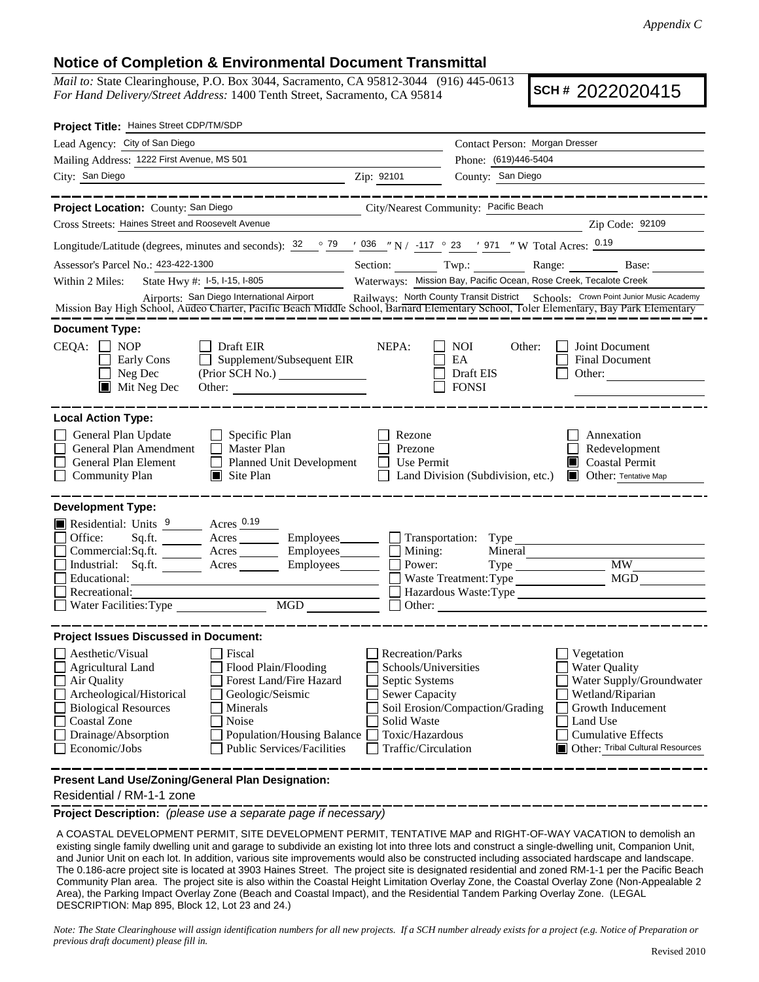## **Notice of Completion & Environmental Document Transmittal**

*Mail to:* State Clearinghouse, P.O. Box 3044, Sacramento, CA 95812-3044 (916) 445-0613 *For Hand Delivery/Street Address:* 1400 Tenth Street, Sacramento, CA 95814

**SCH #** 2022020415

| Project Title: Haines Street CDP/TM/SDP                                                                                                                                                                                                                                                                                                                                                                      |                                                                                                                                              |                                                                                                       |                                                                                                                                    |
|--------------------------------------------------------------------------------------------------------------------------------------------------------------------------------------------------------------------------------------------------------------------------------------------------------------------------------------------------------------------------------------------------------------|----------------------------------------------------------------------------------------------------------------------------------------------|-------------------------------------------------------------------------------------------------------|------------------------------------------------------------------------------------------------------------------------------------|
| Lead Agency: City of San Diego                                                                                                                                                                                                                                                                                                                                                                               |                                                                                                                                              | Contact Person: Morgan Dresser                                                                        |                                                                                                                                    |
| Mailing Address: 1222 First Avenue, MS 501                                                                                                                                                                                                                                                                                                                                                                   |                                                                                                                                              | Phone: (619)446-5404                                                                                  |                                                                                                                                    |
| City: San Diego<br><u> 1989 - Johann Barn, mars an t-Amerikaansk politiker (</u>                                                                                                                                                                                                                                                                                                                             | Zip: 92101                                                                                                                                   | County: San Diego                                                                                     |                                                                                                                                    |
| __________                                                                                                                                                                                                                                                                                                                                                                                                   |                                                                                                                                              |                                                                                                       | --------------                                                                                                                     |
| Project Location: County: San Diego                                                                                                                                                                                                                                                                                                                                                                          |                                                                                                                                              | City/Nearest Community: Pacific Beach                                                                 |                                                                                                                                    |
| Cross Streets: Haines Street and Roosevelt Avenue                                                                                                                                                                                                                                                                                                                                                            |                                                                                                                                              |                                                                                                       | Zip Code: 92109                                                                                                                    |
| Longitude/Latitude (degrees, minutes and seconds): $\frac{32}{52}$ $\frac{79}{52}$ $\frac{79}{52}$ $\frac{1036}{52}$ $\frac{117}{52}$ $\frac{23}{52}$ $\frac{197}{52}$ $\frac{117}{52}$ W Total Acres: $\frac{0.19}{52}$                                                                                                                                                                                     |                                                                                                                                              |                                                                                                       |                                                                                                                                    |
| Assessor's Parcel No.: 423-422-1300<br><u> 1990 - Johann Barbara, martin a</u>                                                                                                                                                                                                                                                                                                                               |                                                                                                                                              | Section: Twp.: Range: Base:                                                                           |                                                                                                                                    |
| State Hwy #: 1-5, 1-15, 1-805<br>Within 2 Miles:                                                                                                                                                                                                                                                                                                                                                             |                                                                                                                                              | Waterways: Mission Bay, Pacific Ocean, Rose Creek, Tecalote Creek                                     |                                                                                                                                    |
| Airports: San Diego International Airport<br>Mission Bay High School, Audeo Charter, Pacific Beach Middle School, Barnard Elementary School, Toler Elementary, Bay Park Elementary                                                                                                                                                                                                                           |                                                                                                                                              |                                                                                                       |                                                                                                                                    |
| <b>Document Type:</b>                                                                                                                                                                                                                                                                                                                                                                                        |                                                                                                                                              |                                                                                                       |                                                                                                                                    |
| $\Box$ Draft EIR<br>CEQA:<br><b>NOP</b><br>Supplement/Subsequent EIR<br>Early Cons<br>$\perp$<br>Neg Dec<br>(Prior SCH No.) ________________<br>$\blacksquare$<br>$\blacksquare$ Mit Neg Dec<br>Other:                                                                                                                                                                                                       | NEPA:                                                                                                                                        | <b>NOI</b><br>Other:<br>EA<br>Draft EIS<br><b>FONSI</b>                                               | Joint Document<br>Final Document<br>Other:                                                                                         |
| <b>Local Action Type:</b><br>General Plan Update<br>$\Box$ Specific Plan<br>General Plan Amendment<br>$\Box$ Master Plan<br>General Plan Element<br>Planned Unit Development<br><b>Community Plan</b><br>$\Box$ Site Plan                                                                                                                                                                                    | Rezone<br>Prezone<br>Use Permit                                                                                                              | Land Division (Subdivision, etc.)                                                                     | Annexation<br>Redevelopment<br><b>Coastal Permit</b><br><b>Other: Tentative Map</b>                                                |
| <b>Development Type:</b><br>Residential: Units 9 Acres 0.19<br>Office:<br>Commercial:Sq.ft. _________ Acres __________ Employees ________<br>Industrial: Sq.ft. Acres<br>Employees_______<br>Educational:<br><u> 1980 - Johann Barn, amerikan bestemanns og forskellige og det blev til store og en som som som en som som s</u><br>Recreational:                                                            | Employees Transportation: Type<br>Mining:<br>Power:                                                                                          | Mineral<br>Waste Treatment: Type<br>Hazardous Waste:Type<br>Other: <u>International Communication</u> | <b>MW</b><br>MGD                                                                                                                   |
| <b>Project Issues Discussed in Document:</b>                                                                                                                                                                                                                                                                                                                                                                 |                                                                                                                                              |                                                                                                       |                                                                                                                                    |
| Aesthetic/Visual<br>Fiscal<br>$\Box$ Agricultural Land<br>Flood Plain/Flooding<br>Forest Land/Fire Hazard<br>Air Quality<br>Archeological/Historical<br>Geologic/Seismic<br><b>Biological Resources</b><br>Minerals<br>Coastal Zone<br>Noise<br>Drainage/Absorption<br><b>Population/Housing Balance</b><br>Public Services/Facilities<br>Economic/Jobs<br>Present Land Use/Zoning/General Plan Designation: | Recreation/Parks<br>Schools/Universities<br>Septic Systems<br><b>Sewer Capacity</b><br>Solid Waste<br>Toxic/Hazardous<br>Traffic/Circulation | Vegetation<br><b>Water Quality</b><br>Soil Erosion/Compaction/Grading<br>Land Use                     | Water Supply/Groundwater<br>Wetland/Riparian<br>Growth Inducement<br><b>Cumulative Effects</b><br>Other: Tribal Cultural Resources |
|                                                                                                                                                                                                                                                                                                                                                                                                              |                                                                                                                                              |                                                                                                       |                                                                                                                                    |

Residential / RM-1-1 zone

**Project Description:** *(please use a separate page if necessary)*

A COASTAL DEVELOPMENT PERMIT, SITE DEVELOPMENT PERMIT, TENTATIVE MAP and RIGHT-OF-WAY VACATION to demolish an existing single family dwelling unit and garage to subdivide an existing lot into three lots and construct a single-dwelling unit, Companion Unit, and Junior Unit on each lot. In addition, various site improvements would also be constructed including associated hardscape and landscape. The 0.186-acre project site is located at 3903 Haines Street. The project site is designated residential and zoned RM-1-1 per the Pacific Beach Community Plan area. The project site is also within the Coastal Height Limitation Overlay Zone, the Coastal Overlay Zone (Non-Appealable 2 Area), the Parking Impact Overlay Zone (Beach and Coastal Impact), and the Residential Tandem Parking Overlay Zone. (LEGAL DESCRIPTION: Map 895, Block 12, Lot 23 and 24.)

*Note: The State Clearinghouse will assign identification numbers for all new projects. If a SCH number already exists for a project (e.g. Notice of Preparation or previous draft document) please fill in.*